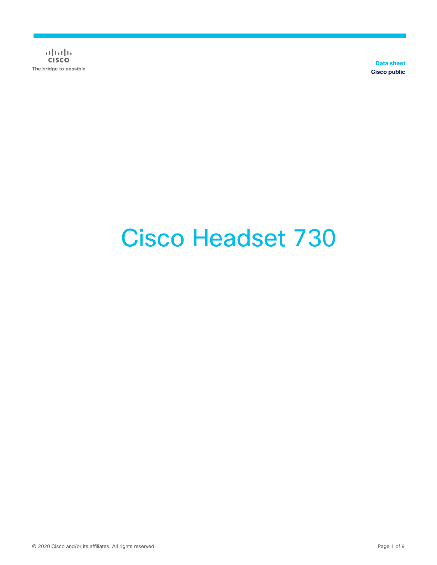$\alpha$  [  $\alpha$  ]  $\alpha$ **CISCO** The bridge to possible

**Data sheet Cisco public**

# Cisco Headset 730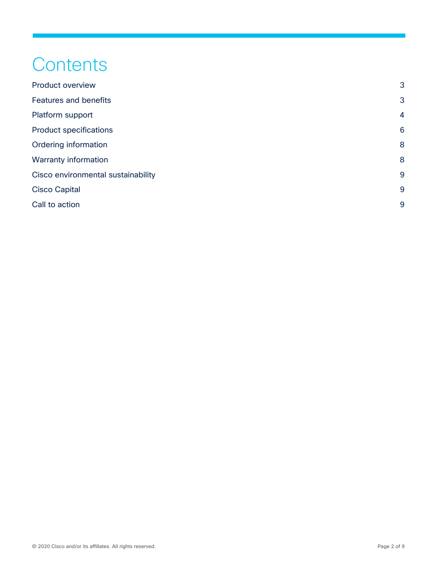## **Contents**

| <b>Product overview</b>            | 3              |
|------------------------------------|----------------|
| <b>Features and benefits</b>       | 3              |
| Platform support                   | $\overline{4}$ |
| <b>Product specifications</b>      | 6              |
| Ordering information               | 8              |
| Warranty information               | 8              |
| Cisco environmental sustainability | 9              |
| <b>Cisco Capital</b>               | 9              |
| Call to action                     | 9              |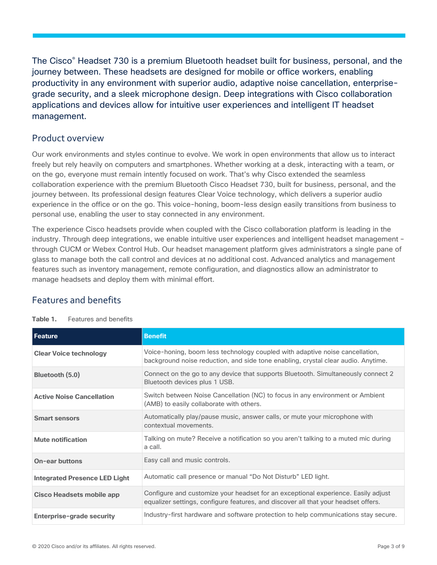The Cisco® Headset 730 is a premium Bluetooth headset built for business, personal, and the journey between. These headsets are designed for mobile or office workers, enabling productivity in any environment with superior audio, adaptive noise cancellation, enterprisegrade security, and a sleek microphone design. Deep integrations with Cisco collaboration applications and devices allow for intuitive user experiences and intelligent IT headset management.

#### <span id="page-2-0"></span>Product overview

Our work environments and styles continue to evolve. We work in open environments that allow us to interact freely but rely heavily on computers and smartphones. Whether working at a desk, interacting with a team, or on the go, everyone must remain intently focused on work. That's why Cisco extended the seamless collaboration experience with the premium Bluetooth Cisco Headset 730, built for business, personal, and the journey between. Its professional design features Clear Voice technology, which delivers a superior audio experience in the office or on the go. This voice-honing, boom-less design easily transitions from business to personal use, enabling the user to stay connected in any environment.

The experience Cisco headsets provide when coupled with the Cisco collaboration platform is leading in the industry. Through deep integrations, we enable intuitive user experiences and intelligent headset management – through CUCM or Webex Control Hub. Our headset management platform gives administrators a single pane of glass to manage both the call control and devices at no additional cost. Advanced analytics and management features such as inventory management, remote configuration, and diagnostics allow an administrator to manage headsets and deploy them with minimal effort.

### <span id="page-2-1"></span>Features and benefits

| Feature                              | <b>Benefit</b>                                                                                                                                                          |
|--------------------------------------|-------------------------------------------------------------------------------------------------------------------------------------------------------------------------|
| <b>Clear Voice technology</b>        | Voice-honing, boom less technology coupled with adaptive noise cancellation,<br>background noise reduction, and side tone enabling, crystal clear audio. Anytime.       |
| Bluetooth (5.0)                      | Connect on the go to any device that supports Bluetooth. Simultaneously connect 2<br>Bluetooth devices plus 1 USB.                                                      |
| <b>Active Noise Cancellation</b>     | Switch between Noise Cancellation (NC) to focus in any environment or Ambient<br>(AMB) to easily collaborate with others.                                               |
| <b>Smart sensors</b>                 | Automatically play/pause music, answer calls, or mute your microphone with<br>contextual movements.                                                                     |
| <b>Mute notification</b>             | Talking on mute? Receive a notification so you aren't talking to a muted mic during<br>a call.                                                                          |
| <b>On-ear buttons</b>                | Easy call and music controls.                                                                                                                                           |
| <b>Integrated Presence LED Light</b> | Automatic call presence or manual "Do Not Disturb" LED light.                                                                                                           |
| <b>Cisco Headsets mobile app</b>     | Configure and customize your headset for an exceptional experience. Easily adjust<br>equalizer settings, configure features, and discover all that your headset offers. |
| <b>Enterprise-grade security</b>     | Industry-first hardware and software protection to help communications stay secure.                                                                                     |

#### **Table 1.** Features and benefits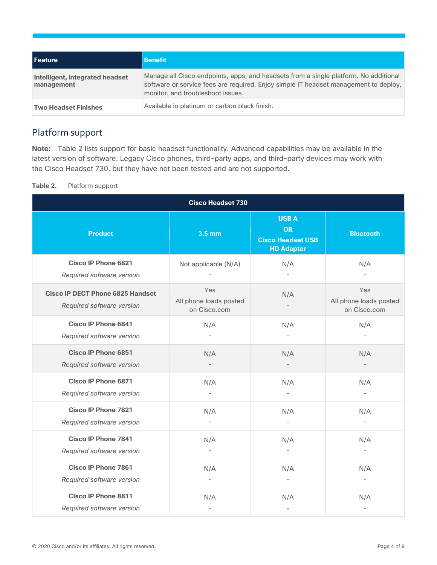| l Feature                                     | <b>Benefit</b>                                                                                                                                                                                                    |
|-----------------------------------------------|-------------------------------------------------------------------------------------------------------------------------------------------------------------------------------------------------------------------|
| Intelligent, integrated headset<br>management | Manage all Cisco endpoints, apps, and headsets from a single platform. No additional<br>software or service fees are required. Enjoy simple IT headset management to deploy,<br>monitor, and troubleshoot issues. |
| <b>Two Headset Finishes</b>                   | Available in platinum or carbon black finish.                                                                                                                                                                     |

## <span id="page-3-0"></span>Platform support

**Note:** Table 2 lists support for basic headset functionality. Advanced capabilities may be available in the latest version of software. Legacy Cisco phones, third-party apps, and third-party devices may work with the Cisco Headset 730, but they have not been tested and are not supported.

**Table 2.** Platform support

| <b>Cisco Headset 730</b>                                             |                                               |                                                                           |                                               |
|----------------------------------------------------------------------|-----------------------------------------------|---------------------------------------------------------------------------|-----------------------------------------------|
| <b>Product</b>                                                       | 3.5 mm                                        | <b>USBA</b><br><b>OR</b><br><b>Cisco Headset USB</b><br><b>HD Adapter</b> | <b>Bluetooth</b>                              |
| <b>Cisco IP Phone 6821</b><br>Required software version              | Not applicable (N/A)                          | N/A                                                                       | N/A                                           |
| <b>Cisco IP DECT Phone 6825 Handset</b><br>Required software version | Yes<br>All phone loads posted<br>on Cisco.com | N/A                                                                       | Yes<br>All phone loads posted<br>on Cisco.com |
| <b>Cisco IP Phone 6841</b><br>Required software version              | N/A                                           | N/A<br>÷                                                                  | N/A                                           |
| <b>Cisco IP Phone 6851</b><br>Required software version              | N/A                                           | N/A                                                                       | N/A                                           |
| <b>Cisco IP Phone 6871</b><br>Required software version              | N/A                                           | N/A                                                                       | N/A                                           |
| <b>Cisco IP Phone 7821</b><br>Required software version              | N/A                                           | N/A                                                                       | N/A                                           |
| <b>Cisco IP Phone 7841</b><br>Required software version              | N/A                                           | N/A                                                                       | N/A<br>$\overline{\phantom{0}}$               |
| <b>Cisco IP Phone 7861</b><br>Required software version              | N/A                                           | N/A                                                                       | N/A<br>$\overline{\phantom{a}}$               |
| <b>Cisco IP Phone 8811</b><br>Required software version              | N/A                                           | N/A                                                                       | N/A                                           |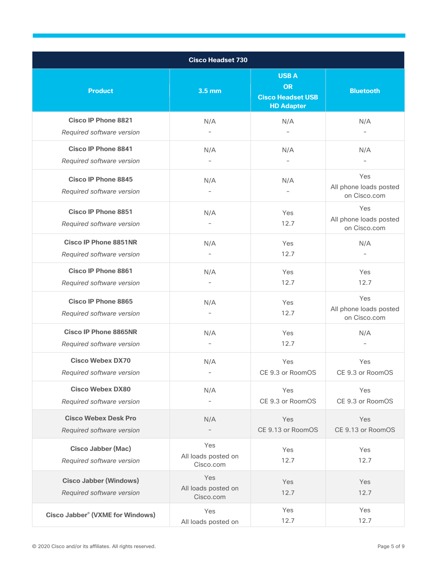| <b>Cisco Headset 730</b>                                   |                                         |                                                                           |                                               |
|------------------------------------------------------------|-----------------------------------------|---------------------------------------------------------------------------|-----------------------------------------------|
| <b>Product</b>                                             | 3.5 mm                                  | <b>USBA</b><br><b>OR</b><br><b>Cisco Headset USB</b><br><b>HD Adapter</b> | <b>Bluetooth</b>                              |
| <b>Cisco IP Phone 8821</b><br>Required software version    | N/A                                     | N/A                                                                       | N/A                                           |
| <b>Cisco IP Phone 8841</b>                                 | N/A                                     | N/A                                                                       | N/A                                           |
| Required software version                                  |                                         |                                                                           |                                               |
| <b>Cisco IP Phone 8845</b><br>Required software version    | N/A                                     | N/A                                                                       | Yes<br>All phone loads posted<br>on Cisco.com |
| <b>Cisco IP Phone 8851</b><br>Required software version    | N/A                                     | Yes<br>12.7                                                               | Yes<br>All phone loads posted<br>on Cisco.com |
| <b>Cisco IP Phone 8851NR</b><br>Required software version  | N/A                                     | Yes<br>12.7                                                               | N/A                                           |
| <b>Cisco IP Phone 8861</b><br>Required software version    | N/A                                     | Yes<br>12.7                                                               | <b>Yes</b><br>12.7                            |
| <b>Cisco IP Phone 8865</b><br>Required software version    | N/A                                     | Yes<br>12.7                                                               | Yes<br>All phone loads posted<br>on Cisco.com |
| <b>Cisco IP Phone 8865NR</b><br>Required software version  | N/A                                     | Yes<br>12.7                                                               | N/A                                           |
| <b>Cisco Webex DX70</b><br>Required software version       | N/A                                     | Yes<br>CE 9.3 or RoomOS                                                   | Yes<br>CE 9.3 or RoomOS                       |
| <b>Cisco Webex DX80</b><br>Required software version       | N/A                                     | Yes<br>CE 9.3 or RoomOS                                                   | Yes<br>CE 9.3 or RoomOS                       |
| <b>Cisco Webex Desk Pro</b><br>Required software version   | N/A                                     | Yes<br>CE 9.13 or RoomOS                                                  | Yes<br>CE 9.13 or RoomOS                      |
| <b>Cisco Jabber (Mac)</b><br>Required software version     | Yes<br>All loads posted on<br>Cisco.com | Yes<br>12.7                                                               | Yes<br>12.7                                   |
| <b>Cisco Jabber (Windows)</b><br>Required software version | Yes<br>All loads posted on<br>Cisco.com | Yes<br>12.7                                                               | Yes<br>12.7                                   |
| Cisco Jabber <sup>®</sup> (VXME for Windows)               | Yes<br>All loads posted on              | Yes<br>12.7                                                               | Yes<br>12.7                                   |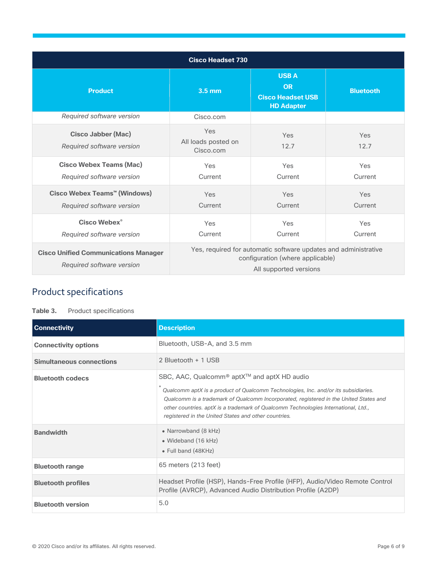| <b>Cisco Headset 730</b>                                                 |                                                                                                                               |                                                                           |                  |
|--------------------------------------------------------------------------|-------------------------------------------------------------------------------------------------------------------------------|---------------------------------------------------------------------------|------------------|
| <b>Product</b>                                                           | 3.5 <sub>mm</sub>                                                                                                             | <b>USBA</b><br><b>OR</b><br><b>Cisco Headset USB</b><br><b>HD Adapter</b> | <b>Bluetooth</b> |
| Required software version                                                | Cisco.com                                                                                                                     |                                                                           |                  |
| <b>Cisco Jabber (Mac)</b><br>Required software version                   | Yes<br>All loads posted on<br>Cisco.com                                                                                       | Yes<br>12.7                                                               | Yes<br>12.7      |
| <b>Cisco Webex Teams (Mac)</b><br>Required software version              | Yes<br>Current                                                                                                                | Yes<br>Current                                                            | Yes<br>Current   |
| Cisco Webex Teams™ (Windows)<br>Required software version                | Yes<br>Current                                                                                                                | Yes<br>Current                                                            | Yes<br>Current   |
| Cisco Webex <sup>®</sup><br>Required software version                    | Yes<br>Current                                                                                                                | Yes<br>Current                                                            | Yes<br>Current   |
| <b>Cisco Unified Communications Manager</b><br>Required software version | Yes, required for automatic software updates and administrative<br>configuration (where applicable)<br>All supported versions |                                                                           |                  |

## <span id="page-5-0"></span>Product specifications

#### **Table 3.** Product specifications

| <b>Connectivity</b>             | <b>Description</b>                                                                                                                                                                                                                                                                                                                                                                               |  |
|---------------------------------|--------------------------------------------------------------------------------------------------------------------------------------------------------------------------------------------------------------------------------------------------------------------------------------------------------------------------------------------------------------------------------------------------|--|
| <b>Connectivity options</b>     | Bluetooth, USB-A, and 3.5 mm                                                                                                                                                                                                                                                                                                                                                                     |  |
| <b>Simultaneous connections</b> | 2 Bluetooth + 1 USB                                                                                                                                                                                                                                                                                                                                                                              |  |
| <b>Bluetooth codecs</b>         | SBC, AAC, Qualcomm <sup>®</sup> aptX <sup>™</sup> and aptX HD audio<br>Qualcomm aptX is a product of Qualcomm Technologies, Inc. and/or its subsidiaries.<br>Qualcomm is a trademark of Qualcomm Incorporated, registered in the United States and<br>other countries. aptX is a trademark of Qualcomm Technologies International, Ltd.,<br>registered in the United States and other countries. |  |
| <b>Bandwidth</b>                | • Narrowband (8 kHz)<br>• Wideband (16 kHz)<br>• Full band (48KHz)                                                                                                                                                                                                                                                                                                                               |  |
| <b>Bluetooth range</b>          | 65 meters (213 feet)                                                                                                                                                                                                                                                                                                                                                                             |  |
| <b>Bluetooth profiles</b>       | Headset Profile (HSP), Hands-Free Profile (HFP), Audio/Video Remote Control<br>Profile (AVRCP), Advanced Audio Distribution Profile (A2DP)                                                                                                                                                                                                                                                       |  |
| <b>Bluetooth version</b>        | 5.0                                                                                                                                                                                                                                                                                                                                                                                              |  |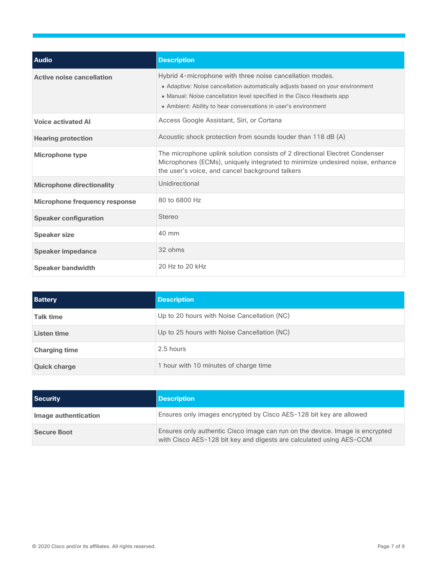| <b>Audio</b>                         | <b>Description</b>                                                                                                                                                                                                                                                                     |
|--------------------------------------|----------------------------------------------------------------------------------------------------------------------------------------------------------------------------------------------------------------------------------------------------------------------------------------|
| <b>Active noise cancellation</b>     | Hybrid 4-microphone with three noise cancellation modes.<br>• Adaptive: Noise cancellation automatically adjusts based on your environment<br>• Manual: Noise cancellation level specified in the Cisco Headsets app<br>• Ambient: Ability to hear conversations in user's environment |
| <b>Voice activated AI</b>            | Access Google Assistant, Siri, or Cortana                                                                                                                                                                                                                                              |
| <b>Hearing protection</b>            | Acoustic shock protection from sounds louder than 118 dB (A)                                                                                                                                                                                                                           |
| Microphone type                      | The microphone uplink solution consists of 2 directional Electret Condenser<br>Microphones (ECMs), uniquely integrated to minimize undesired noise, enhance<br>the user's voice, and cancel background talkers                                                                         |
| <b>Microphone directionality</b>     | Unidirectional                                                                                                                                                                                                                                                                         |
| <b>Microphone frequency response</b> | 80 to 6800 Hz                                                                                                                                                                                                                                                                          |
| <b>Speaker configuration</b>         | <b>Stereo</b>                                                                                                                                                                                                                                                                          |
| <b>Speaker size</b>                  | $40 \text{ mm}$                                                                                                                                                                                                                                                                        |
| <b>Speaker impedance</b>             | 32 ohms                                                                                                                                                                                                                                                                                |
| <b>Speaker bandwidth</b>             | 20 Hz to 20 kHz                                                                                                                                                                                                                                                                        |

| <b>Battery</b>       | <b>Description</b>                          |
|----------------------|---------------------------------------------|
| <b>Talk time</b>     | Up to 20 hours with Noise Cancellation (NC) |
| Listen time          | Up to 25 hours with Noise Cancellation (NC) |
| <b>Charging time</b> | 2.5 hours                                   |
| <b>Quick charge</b>  | 1 hour with 10 minutes of charge time       |

| <b>Security</b>      | <b>Description</b>                                                                                                                                  |
|----------------------|-----------------------------------------------------------------------------------------------------------------------------------------------------|
| Image authentication | Ensures only images encrypted by Cisco AES-128 bit key are allowed                                                                                  |
| <b>Secure Boot</b>   | Ensures only authentic Cisco image can run on the device. Image is encrypted<br>with Cisco AES-128 bit key and digests are calculated using AES-CCM |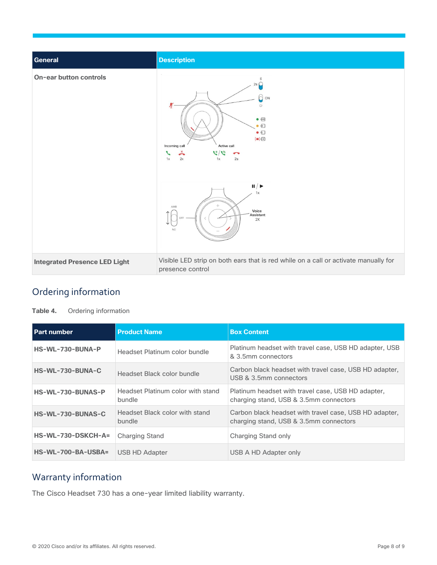| <b>General</b>                       | <b>Description</b>                                                                                                                                                                                                                                                                               |
|--------------------------------------|--------------------------------------------------------------------------------------------------------------------------------------------------------------------------------------------------------------------------------------------------------------------------------------------------|
| <b>On-ear button controls</b>        | 2sC<br>C<br>ON<br>Ķ<br>$\cup$<br>$\bullet$ (iii)<br>$\bullet$<br>$\bullet$ $\Box$<br>$\Rightarrow$<br>Active call<br>Incoming call<br>$\stackrel{\times}{\bullet}$<br>$\mathcal{C}^{\prime}$<br>2x<br>1x<br>2s<br>1x<br>$\mathbf{II}/\mathbf{P}$<br>1x<br>AMB<br>Voice<br>Assistant<br>2X<br>NC. |
| <b>Integrated Presence LED Light</b> | Visible LED strip on both ears that is red while on a call or activate manually for<br>presence control                                                                                                                                                                                          |

## <span id="page-7-0"></span>Ordering information

**Table 4.** Ordering information

| <b>Part number</b>   | <b>Product Name</b>                         | <b>Box Content</b>                                                                               |
|----------------------|---------------------------------------------|--------------------------------------------------------------------------------------------------|
| HS-WL-730-BUNA-P     | Headset Platinum color bundle               | Platinum headset with travel case, USB HD adapter, USB<br>& 3.5mm connectors                     |
| HS-WL-730-BUNA-C     | Headset Black color bundle                  | Carbon black headset with travel case, USB HD adapter,<br>USB & 3.5mm connectors                 |
| HS-WL-730-BUNAS-P    | Headset Platinum color with stand<br>bundle | Platinum headset with travel case, USB HD adapter,<br>charging stand, USB & 3.5mm connectors     |
| HS-WL-730-BUNAS-C    | Headset Black color with stand<br>bundle    | Carbon black headset with travel case, USB HD adapter,<br>charging stand, USB & 3.5mm connectors |
| HS-WL-730-DSKCH-A=   | <b>Charging Stand</b>                       | Charging Stand only                                                                              |
| $HS-WL-700-BA-USBA=$ | USB HD Adapter                              | USB A HD Adapter only                                                                            |

## <span id="page-7-1"></span>Warranty information

The Cisco Headset 730 has a one-year limited liability warranty.